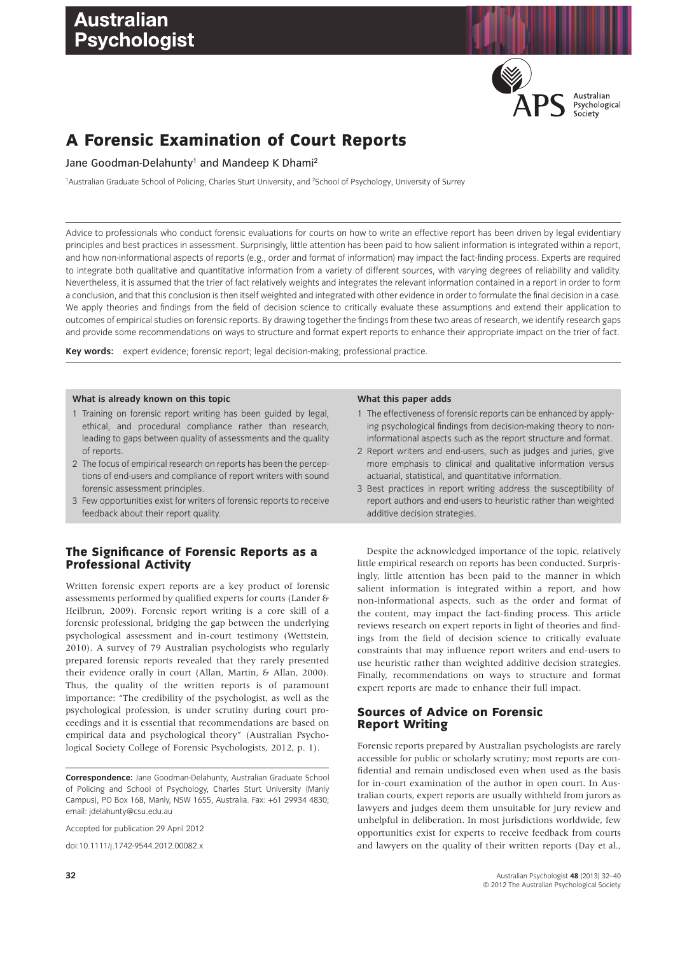Australian Psychological Society

# **A Forensic Examination of Court Reports**

Jane Goodman-Delahunty<sup>1</sup> and Mandeep K Dhami<sup>2</sup>

<sup>1</sup>Australian Graduate School of Policing, Charles Sturt University, and <sup>2</sup>School of Psychology, University of Surrey

Advice to professionals who conduct forensic evaluations for courts on how to write an effective report has been driven by legal evidentiary principles and best practices in assessment. Surprisingly, little attention has been paid to how salient information is integrated within a report, and how non-informational aspects of reports (e.g., order and format of information) may impact the fact-finding process. Experts are required to integrate both qualitative and quantitative information from a variety of different sources, with varying degrees of reliability and validity. Nevertheless, it is assumed that the trier of fact relatively weights and integrates the relevant information contained in a report in order to form a conclusion, and that this conclusion is then itself weighted and integrated with other evidence in order to formulate the final decision in a case. We apply theories and findings from the field of decision science to critically evaluate these assumptions and extend their application to outcomes of empirical studies on forensic reports. By drawing together the findings from these two areas of research, we identify research gaps and provide some recommendations on ways to structure and format expert reports to enhance their appropriate impact on the trier of fact.

**Key words:** expert evidence; forensic report; legal decision-making; professional practice.

#### **What is already known on this topic**

- 1 Training on forensic report writing has been guided by legal, ethical, and procedural compliance rather than research, leading to gaps between quality of assessments and the quality of reports.
- 2 The focus of empirical research on reports has been the perceptions of end-users and compliance of report writers with sound forensic assessment principles.
- 3 Few opportunities exist for writers of forensic reports to receive feedback about their report quality.

# **The Significance of Forensic Reports as a Professional Activity**

Written forensic expert reports are a key product of forensic assessments performed by qualified experts for courts (Lander & Heilbrun, 2009). Forensic report writing is a core skill of a forensic professional, bridging the gap between the underlying psychological assessment and in-court testimony (Wettstein, 2010). A survey of 79 Australian psychologists who regularly prepared forensic reports revealed that they rarely presented their evidence orally in court (Allan, Martin, & Allan, 2000). Thus, the quality of the written reports is of paramount importance: "The credibility of the psychologist, as well as the psychological profession, is under scrutiny during court proceedings and it is essential that recommendations are based on empirical data and psychological theory" (Australian Psychological Society College of Forensic Psychologists, 2012, p. 1).

Accepted for publication 29 April 2012

doi:10.1111/j.1742-9544.2012.00082.x

#### **What this paper adds**

- 1 The effectiveness of forensic reports can be enhanced by applying psychological findings from decision-making theory to noninformational aspects such as the report structure and format.
- 2 Report writers and end-users, such as judges and juries, give more emphasis to clinical and qualitative information versus actuarial, statistical, and quantitative information.
- 3 Best practices in report writing address the susceptibility of report authors and end-users to heuristic rather than weighted additive decision strategies.

Despite the acknowledged importance of the topic, relatively little empirical research on reports has been conducted. Surprisingly, little attention has been paid to the manner in which salient information is integrated within a report, and how non-informational aspects, such as the order and format of the content, may impact the fact-finding process. This article reviews research on expert reports in light of theories and findings from the field of decision science to critically evaluate constraints that may influence report writers and end-users to use heuristic rather than weighted additive decision strategies. Finally, recommendations on ways to structure and format expert reports are made to enhance their full impact.

# **Sources of Advice on Forensic Report Writing**

Forensic reports prepared by Australian psychologists are rarely accessible for public or scholarly scrutiny; most reports are confidential and remain undisclosed even when used as the basis for in-court examination of the author in open court. In Australian courts, expert reports are usually withheld from jurors as lawyers and judges deem them unsuitable for jury review and unhelpful in deliberation. In most jurisdictions worldwide, few opportunities exist for experts to receive feedback from courts and lawyers on the quality of their written reports (Day et al.,

**Correspondence:** Jane Goodman-Delahunty, Australian Graduate School of Policing and School of Psychology, Charles Sturt University (Manly Campus), PO Box 168, Manly, NSW 1655, Australia. Fax: +61 29934 4830; email: jdelahunty@csu.edu.au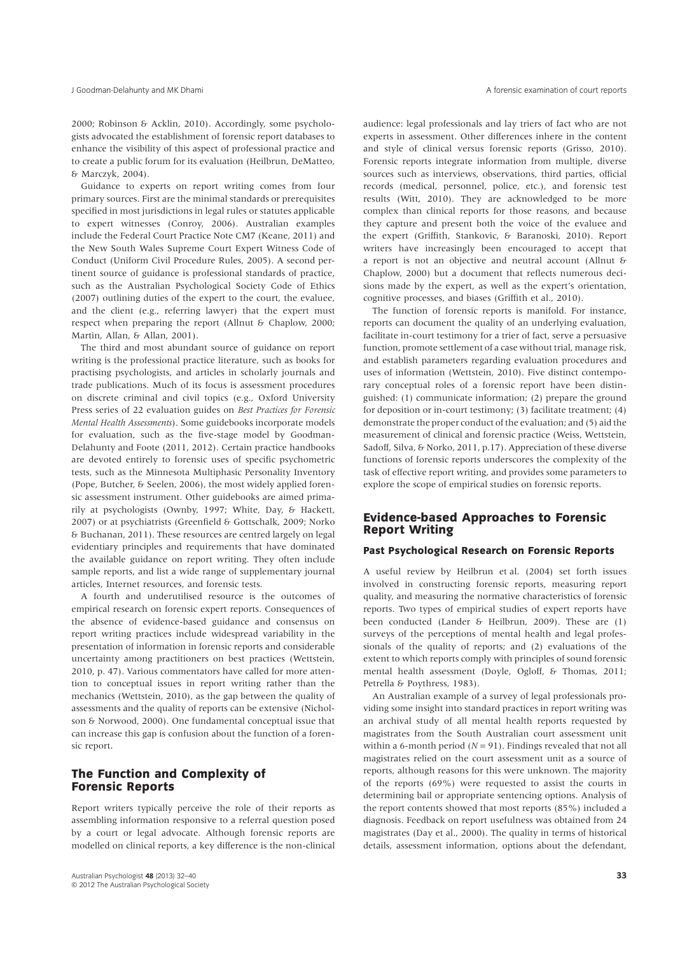2000; Robinson & Acklin, 2010). Accordingly, some psychologists advocated the establishment of forensic report databases to enhance the visibility of this aspect of professional practice and to create a public forum for its evaluation (Heilbrun, DeMatteo, & Marczyk, 2004).

Guidance to experts on report writing comes from four primary sources. First are the minimal standards or prerequisites specified in most jurisdictions in legal rules or statutes applicable to expert witnesses (Conroy, 2006). Australian examples include the Federal Court Practice Note CM7 (Keane, 2011) and the New South Wales Supreme Court Expert Witness Code of Conduct (Uniform Civil Procedure Rules, 2005). A second pertinent source of guidance is professional standards of practice, such as the Australian Psychological Society Code of Ethics (2007) outlining duties of the expert to the court, the evaluee, and the client (e.g., referring lawyer) that the expert must respect when preparing the report (Allnut & Chaplow, 2000; Martin, Allan, & Allan, 2001).

The third and most abundant source of guidance on report writing is the professional practice literature, such as books for practising psychologists, and articles in scholarly journals and trade publications. Much of its focus is assessment procedures on discrete criminal and civil topics (e.g., Oxford University Press series of 22 evaluation guides on *Best Practices for Forensic Mental Health Assessments*). Some guidebooks incorporate models for evaluation, such as the five-stage model by Goodman-Delahunty and Foote (2011, 2012). Certain practice handbooks are devoted entirely to forensic uses of specific psychometric tests, such as the Minnesota Multiphasic Personality Inventory (Pope, Butcher, & Seelen, 2006), the most widely applied forensic assessment instrument. Other guidebooks are aimed primarily at psychologists (Ownby, 1997; White, Day, & Hackett, 2007) or at psychiatrists (Greenfield & Gottschalk, 2009; Norko & Buchanan, 2011). These resources are centred largely on legal evidentiary principles and requirements that have dominated the available guidance on report writing. They often include sample reports, and list a wide range of supplementary journal articles, Internet resources, and forensic tests.

A fourth and underutilised resource is the outcomes of empirical research on forensic expert reports. Consequences of the absence of evidence-based guidance and consensus on report writing practices include widespread variability in the presentation of information in forensic reports and considerable uncertainty among practitioners on best practices (Wettstein, 2010, p. 47). Various commentators have called for more attention to conceptual issues in report writing rather than the mechanics (Wettstein, 2010), as the gap between the quality of assessments and the quality of reports can be extensive (Nicholson & Norwood, 2000). One fundamental conceptual issue that can increase this gap is confusion about the function of a forensic report.

# **The Function and Complexity of Forensic Reports**

Report writers typically perceive the role of their reports as assembling information responsive to a referral question posed by a court or legal advocate. Although forensic reports are modelled on clinical reports, a key difference is the non-clinical audience: legal professionals and lay triers of fact who are not experts in assessment. Other differences inhere in the content and style of clinical versus forensic reports (Grisso, 2010). Forensic reports integrate information from multiple, diverse sources such as interviews, observations, third parties, official records (medical, personnel, police, etc.), and forensic test results (Witt, 2010). They are acknowledged to be more complex than clinical reports for those reasons, and because they capture and present both the voice of the evaluee and the expert (Griffith, Stankovic, & Baranoski, 2010). Report writers have increasingly been encouraged to accept that a report is not an objective and neutral account (Allnut & Chaplow, 2000) but a document that reflects numerous decisions made by the expert, as well as the expert's orientation, cognitive processes, and biases (Griffith et al., 2010).

The function of forensic reports is manifold. For instance, reports can document the quality of an underlying evaluation, facilitate in-court testimony for a trier of fact, serve a persuasive function, promote settlement of a case without trial, manage risk, and establish parameters regarding evaluation procedures and uses of information (Wettstein, 2010). Five distinct contemporary conceptual roles of a forensic report have been distinguished: (1) communicate information; (2) prepare the ground for deposition or in-court testimony; (3) facilitate treatment; (4) demonstrate the proper conduct of the evaluation; and (5) aid the measurement of clinical and forensic practice (Weiss, Wettstein, Sadoff, Silva, & Norko, 2011, p.17). Appreciation of these diverse functions of forensic reports underscores the complexity of the task of effective report writing, and provides some parameters to explore the scope of empirical studies on forensic reports.

# **Evidence-based Approaches to Forensic Report Writing**

# **Past Psychological Research on Forensic Reports**

A useful review by Heilbrun et al. (2004) set forth issues involved in constructing forensic reports, measuring report quality, and measuring the normative characteristics of forensic reports. Two types of empirical studies of expert reports have been conducted (Lander & Heilbrun, 2009). These are (1) surveys of the perceptions of mental health and legal professionals of the quality of reports; and (2) evaluations of the extent to which reports comply with principles of sound forensic mental health assessment (Doyle, Ogloff, & Thomas, 2011; Petrella & Poythress, 1983).

An Australian example of a survey of legal professionals providing some insight into standard practices in report writing was an archival study of all mental health reports requested by magistrates from the South Australian court assessment unit within a 6-month period  $(N = 91)$ . Findings revealed that not all magistrates relied on the court assessment unit as a source of reports, although reasons for this were unknown. The majority of the reports (69%) were requested to assist the courts in determining bail or appropriate sentencing options. Analysis of the report contents showed that most reports (85%) included a diagnosis. Feedback on report usefulness was obtained from 24 magistrates (Day et al., 2000). The quality in terms of historical details, assessment information, options about the defendant,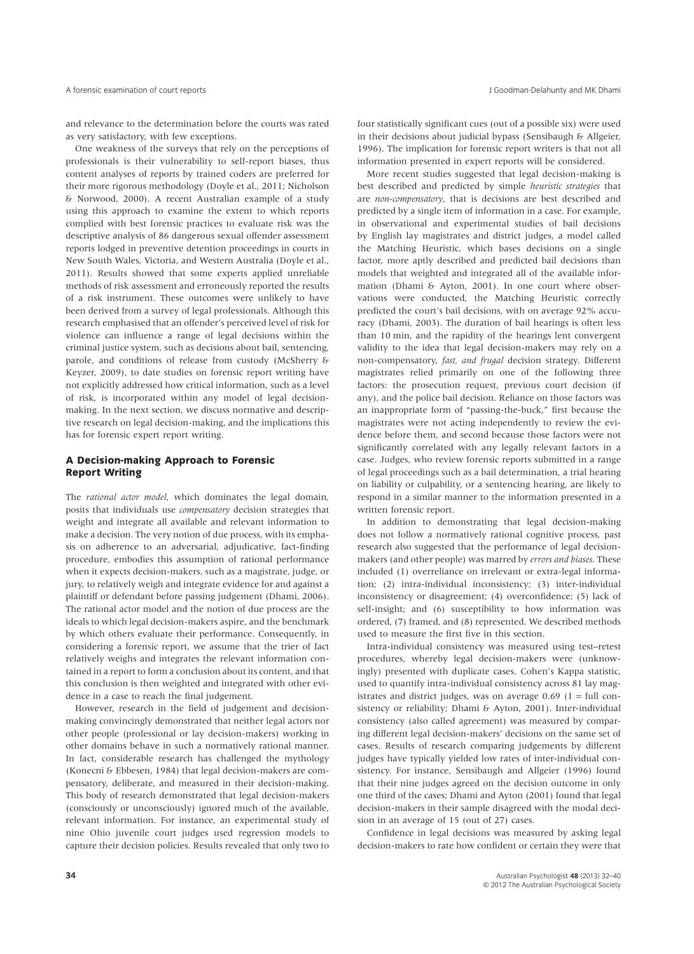A forensic examination of court reports J Goodman-Delahunty and MK Dhami

and relevance to the determination before the courts was rated as very satisfactory, with few exceptions.

One weakness of the surveys that rely on the perceptions of professionals is their vulnerability to self-report biases, thus content analyses of reports by trained coders are preferred for their more rigorous methodology (Doyle et al., 2011; Nicholson & Norwood, 2000). A recent Australian example of a study using this approach to examine the extent to which reports complied with best forensic practices to evaluate risk was the descriptive analysis of 86 dangerous sexual offender assessment reports lodged in preventive detention proceedings in courts in New South Wales, Victoria, and Western Australia (Doyle et al., 2011). Results showed that some experts applied unreliable methods of risk assessment and erroneously reported the results of a risk instrument. These outcomes were unlikely to have been derived from a survey of legal professionals. Although this research emphasised that an offender's perceived level of risk for violence can influence a range of legal decisions within the criminal justice system, such as decisions about bail, sentencing, parole, and conditions of release from custody (McSherry & Keyzer, 2009), to date studies on forensic report writing have not explicitly addressed how critical information, such as a level of risk, is incorporated within any model of legal decisionmaking. In the next section, we discuss normative and descriptive research on legal decision-making, and the implications this has for forensic expert report writing.

#### **A Decision-making Approach to Forensic Report Writing**

The *rational actor model*, which dominates the legal domain, posits that individuals use *compensatory* decision strategies that weight and integrate all available and relevant information to make a decision. The very notion of due process, with its emphasis on adherence to an adversarial, adjudicative, fact-finding procedure, embodies this assumption of rational performance when it expects decision-makers, such as a magistrate, judge, or jury, to relatively weigh and integrate evidence for and against a plaintiff or defendant before passing judgement (Dhami, 2006). The rational actor model and the notion of due process are the ideals to which legal decision-makers aspire, and the benchmark by which others evaluate their performance. Consequently, in considering a forensic report, we assume that the trier of fact relatively weighs and integrates the relevant information contained in a report to form a conclusion about its content, and that this conclusion is then weighted and integrated with other evidence in a case to reach the final judgement.

However, research in the field of judgement and decisionmaking convincingly demonstrated that neither legal actors nor other people (professional or lay decision-makers) working in other domains behave in such a normatively rational manner. In fact, considerable research has challenged the mythology (Konecni & Ebbesen, 1984) that legal decision-makers are compensatory, deliberate, and measured in their decision-making. This body of research demonstrated that legal decision-makers (consciously or unconsciously) ignored much of the available, relevant information. For instance, an experimental study of nine Ohio juvenile court judges used regression models to capture their decision policies. Results revealed that only two to

four statistically significant cues (out of a possible six) were used in their decisions about judicial bypass (Sensibaugh & Allgeier, 1996). The implication for forensic report writers is that not all information presented in expert reports will be considered.

More recent studies suggested that legal decision-making is best described and predicted by simple *heuristic strategies* that are *non-compensatory*, that is decisions are best described and predicted by a single item of information in a case. For example, in observational and experimental studies of bail decisions by English lay magistrates and district judges, a model called the Matching Heuristic, which bases decisions on a single factor, more aptly described and predicted bail decisions than models that weighted and integrated all of the available information (Dhami & Ayton, 2001). In one court where observations were conducted, the Matching Heuristic correctly predicted the court's bail decisions, with on average 92% accuracy (Dhami, 2003). The duration of bail hearings is often less than 10 min, and the rapidity of the hearings lent convergent validity to the idea that legal decision-makers may rely on a non-compensatory, *fast, and frugal* decision strategy. Different magistrates relied primarily on one of the following three factors: the prosecution request, previous court decision (if any), and the police bail decision. Reliance on those factors was an inappropriate form of "passing-the-buck," first because the magistrates were not acting independently to review the evidence before them, and second because those factors were not significantly correlated with any legally relevant factors in a case. Judges, who review forensic reports submitted in a range of legal proceedings such as a bail determination, a trial hearing on liability or culpability, or a sentencing hearing, are likely to respond in a similar manner to the information presented in a written forensic report.

In addition to demonstrating that legal decision-making does not follow a normatively rational cognitive process, past research also suggested that the performance of legal decisionmakers (and other people) was marred by *errors and biases*. These included (1) overreliance on irrelevant or extra-legal information; (2) intra-individual inconsistency; (3) inter-individual inconsistency or disagreement; (4) overconfidence; (5) lack of self-insight; and (6) susceptibility to how information was ordered, (7) framed, and (8) represented. We described methods used to measure the first five in this section.

Intra-individual consistency was measured using test–retest procedures, whereby legal decision-makers were (unknowingly) presented with duplicate cases. Cohen's Kappa statistic, used to quantify intra-individual consistency across 81 lay magistrates and district judges, was on average  $0.69$  (1 = full consistency or reliability; Dhami & Ayton, 2001). Inter-individual consistency (also called agreement) was measured by comparing different legal decision-makers' decisions on the same set of cases. Results of research comparing judgements by different judges have typically yielded low rates of inter-individual consistency. For instance, Sensibaugh and Allgeier (1996) found that their nine judges agreed on the decision outcome in only one third of the cases; Dhami and Ayton (2001) found that legal decision-makers in their sample disagreed with the modal decision in an average of 15 (out of 27) cases.

Confidence in legal decisions was measured by asking legal decision-makers to rate how confident or certain they were that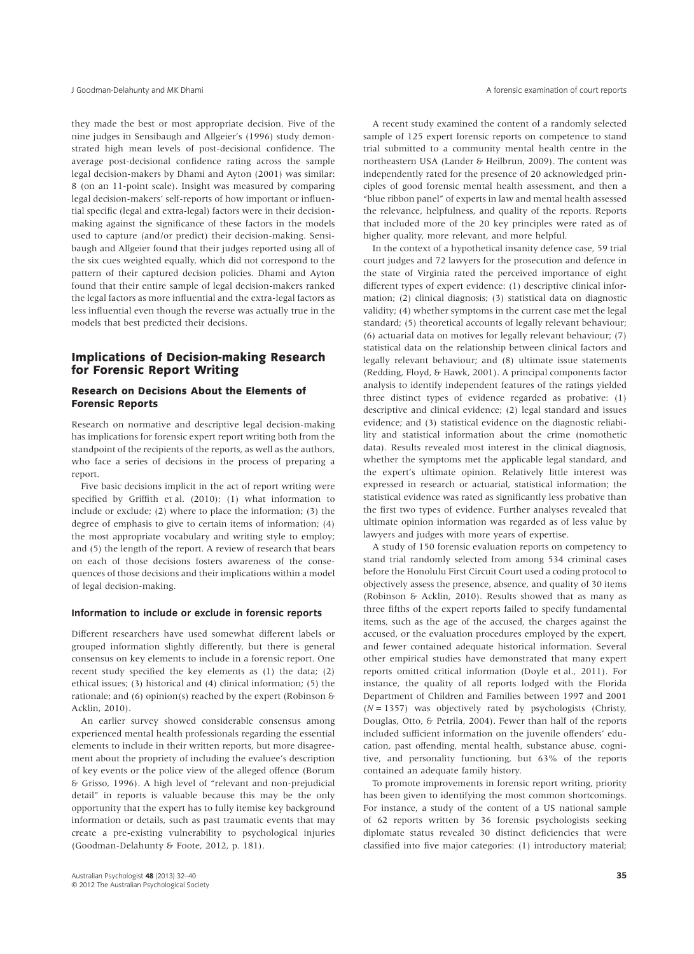they made the best or most appropriate decision. Five of the nine judges in Sensibaugh and Allgeier's (1996) study demonstrated high mean levels of post-decisional confidence. The average post-decisional confidence rating across the sample legal decision-makers by Dhami and Ayton (2001) was similar: 8 (on an 11-point scale). Insight was measured by comparing legal decision-makers' self-reports of how important or influential specific (legal and extra-legal) factors were in their decisionmaking against the significance of these factors in the models used to capture (and/or predict) their decision-making. Sensibaugh and Allgeier found that their judges reported using all of the six cues weighted equally, which did not correspond to the pattern of their captured decision policies. Dhami and Ayton found that their entire sample of legal decision-makers ranked the legal factors as more influential and the extra-legal factors as less influential even though the reverse was actually true in the models that best predicted their decisions.

# **Implications of Decision-making Research for Forensic Report Writing**

#### **Research on Decisions About the Elements of Forensic Reports**

Research on normative and descriptive legal decision-making has implications for forensic expert report writing both from the standpoint of the recipients of the reports, as well as the authors, who face a series of decisions in the process of preparing a report.

Five basic decisions implicit in the act of report writing were specified by Griffith et al. (2010): (1) what information to include or exclude; (2) where to place the information; (3) the degree of emphasis to give to certain items of information; (4) the most appropriate vocabulary and writing style to employ; and (5) the length of the report. A review of research that bears on each of those decisions fosters awareness of the consequences of those decisions and their implications within a model of legal decision-making.

#### **Information to include or exclude in forensic reports**

Different researchers have used somewhat different labels or grouped information slightly differently, but there is general consensus on key elements to include in a forensic report. One recent study specified the key elements as (1) the data; (2) ethical issues; (3) historical and (4) clinical information; (5) the rationale; and (6) opinion(s) reached by the expert (Robinson  $\theta$ Acklin, 2010).

An earlier survey showed considerable consensus among experienced mental health professionals regarding the essential elements to include in their written reports, but more disagreement about the propriety of including the evaluee's description of key events or the police view of the alleged offence (Borum & Grisso, 1996). A high level of "relevant and non-prejudicial detail" in reports is valuable because this may be the only opportunity that the expert has to fully itemise key background information or details, such as past traumatic events that may create a pre-existing vulnerability to psychological injuries (Goodman-Delahunty & Foote, 2012, p. 181).

A recent study examined the content of a randomly selected sample of 125 expert forensic reports on competence to stand trial submitted to a community mental health centre in the northeastern USA (Lander & Heilbrun, 2009). The content was independently rated for the presence of 20 acknowledged principles of good forensic mental health assessment, and then a "blue ribbon panel" of experts in law and mental health assessed the relevance, helpfulness, and quality of the reports. Reports that included more of the 20 key principles were rated as of higher quality, more relevant, and more helpful.

In the context of a hypothetical insanity defence case, 59 trial court judges and 72 lawyers for the prosecution and defence in the state of Virginia rated the perceived importance of eight different types of expert evidence: (1) descriptive clinical information; (2) clinical diagnosis; (3) statistical data on diagnostic validity; (4) whether symptoms in the current case met the legal standard; (5) theoretical accounts of legally relevant behaviour; (6) actuarial data on motives for legally relevant behaviour; (7) statistical data on the relationship between clinical factors and legally relevant behaviour; and (8) ultimate issue statements (Redding, Floyd, & Hawk, 2001). A principal components factor analysis to identify independent features of the ratings yielded three distinct types of evidence regarded as probative: (1) descriptive and clinical evidence; (2) legal standard and issues evidence; and (3) statistical evidence on the diagnostic reliability and statistical information about the crime (nomothetic data). Results revealed most interest in the clinical diagnosis, whether the symptoms met the applicable legal standard, and the expert's ultimate opinion. Relatively little interest was expressed in research or actuarial, statistical information; the statistical evidence was rated as significantly less probative than the first two types of evidence. Further analyses revealed that ultimate opinion information was regarded as of less value by lawyers and judges with more years of expertise.

A study of 150 forensic evaluation reports on competency to stand trial randomly selected from among 534 criminal cases before the Honolulu First Circuit Court used a coding protocol to objectively assess the presence, absence, and quality of 30 items (Robinson & Acklin, 2010). Results showed that as many as three fifths of the expert reports failed to specify fundamental items, such as the age of the accused, the charges against the accused, or the evaluation procedures employed by the expert, and fewer contained adequate historical information. Several other empirical studies have demonstrated that many expert reports omitted critical information (Doyle et al., 2011). For instance, the quality of all reports lodged with the Florida Department of Children and Families between 1997 and 2001 (*N* = 1357) was objectively rated by psychologists (Christy, Douglas, Otto, & Petrila, 2004). Fewer than half of the reports included sufficient information on the juvenile offenders' education, past offending, mental health, substance abuse, cognitive, and personality functioning, but 63% of the reports contained an adequate family history.

To promote improvements in forensic report writing, priority has been given to identifying the most common shortcomings. For instance, a study of the content of a US national sample of 62 reports written by 36 forensic psychologists seeking diplomate status revealed 30 distinct deficiencies that were classified into five major categories: (1) introductory material;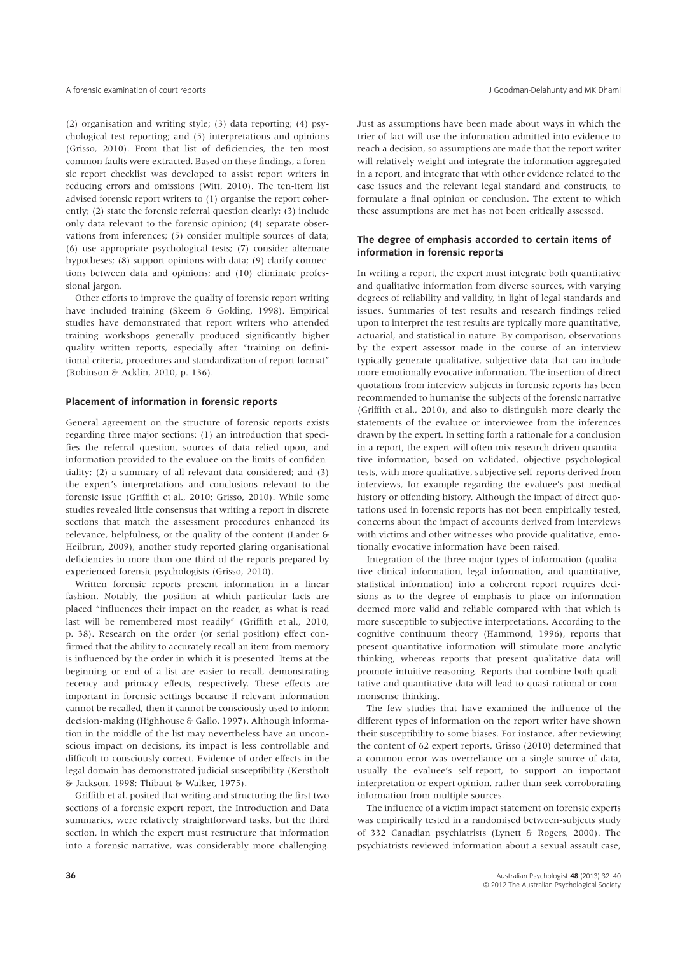(2) organisation and writing style; (3) data reporting; (4) psychological test reporting; and (5) interpretations and opinions (Grisso, 2010). From that list of deficiencies, the ten most common faults were extracted. Based on these findings, a forensic report checklist was developed to assist report writers in reducing errors and omissions (Witt, 2010). The ten-item list advised forensic report writers to (1) organise the report coherently; (2) state the forensic referral question clearly; (3) include only data relevant to the forensic opinion; (4) separate observations from inferences; (5) consider multiple sources of data; (6) use appropriate psychological tests; (7) consider alternate hypotheses; (8) support opinions with data; (9) clarify connections between data and opinions; and (10) eliminate professional jargon.

Other efforts to improve the quality of forensic report writing have included training (Skeem & Golding, 1998). Empirical studies have demonstrated that report writers who attended training workshops generally produced significantly higher quality written reports, especially after "training on definitional criteria, procedures and standardization of report format" (Robinson & Acklin, 2010, p. 136).

#### **Placement of information in forensic reports**

General agreement on the structure of forensic reports exists regarding three major sections: (1) an introduction that specifies the referral question, sources of data relied upon, and information provided to the evaluee on the limits of confidentiality; (2) a summary of all relevant data considered; and (3) the expert's interpretations and conclusions relevant to the forensic issue (Griffith et al., 2010; Grisso, 2010). While some studies revealed little consensus that writing a report in discrete sections that match the assessment procedures enhanced its relevance, helpfulness, or the quality of the content (Lander & Heilbrun, 2009), another study reported glaring organisational deficiencies in more than one third of the reports prepared by experienced forensic psychologists (Grisso, 2010).

Written forensic reports present information in a linear fashion. Notably, the position at which particular facts are placed "influences their impact on the reader, as what is read last will be remembered most readily" (Griffith et al., 2010, p. 38). Research on the order (or serial position) effect confirmed that the ability to accurately recall an item from memory is influenced by the order in which it is presented. Items at the beginning or end of a list are easier to recall, demonstrating recency and primacy effects, respectively. These effects are important in forensic settings because if relevant information cannot be recalled, then it cannot be consciously used to inform decision-making (Highhouse & Gallo, 1997). Although information in the middle of the list may nevertheless have an unconscious impact on decisions, its impact is less controllable and difficult to consciously correct. Evidence of order effects in the legal domain has demonstrated judicial susceptibility (Kerstholt & Jackson, 1998; Thibaut & Walker, 1975).

Griffith et al. posited that writing and structuring the first two sections of a forensic expert report, the Introduction and Data summaries, were relatively straightforward tasks, but the third section, in which the expert must restructure that information into a forensic narrative, was considerably more challenging.

Just as assumptions have been made about ways in which the trier of fact will use the information admitted into evidence to reach a decision, so assumptions are made that the report writer will relatively weight and integrate the information aggregated in a report, and integrate that with other evidence related to the case issues and the relevant legal standard and constructs, to formulate a final opinion or conclusion. The extent to which these assumptions are met has not been critically assessed.

#### **The degree of emphasis accorded to certain items of information in forensic reports**

In writing a report, the expert must integrate both quantitative and qualitative information from diverse sources, with varying degrees of reliability and validity, in light of legal standards and issues. Summaries of test results and research findings relied upon to interpret the test results are typically more quantitative, actuarial, and statistical in nature. By comparison, observations by the expert assessor made in the course of an interview typically generate qualitative, subjective data that can include more emotionally evocative information. The insertion of direct quotations from interview subjects in forensic reports has been recommended to humanise the subjects of the forensic narrative (Griffith et al., 2010), and also to distinguish more clearly the statements of the evaluee or interviewee from the inferences drawn by the expert. In setting forth a rationale for a conclusion in a report, the expert will often mix research-driven quantitative information, based on validated, objective psychological tests, with more qualitative, subjective self-reports derived from interviews, for example regarding the evaluee's past medical history or offending history. Although the impact of direct quotations used in forensic reports has not been empirically tested, concerns about the impact of accounts derived from interviews with victims and other witnesses who provide qualitative, emotionally evocative information have been raised.

Integration of the three major types of information (qualitative clinical information, legal information, and quantitative, statistical information) into a coherent report requires decisions as to the degree of emphasis to place on information deemed more valid and reliable compared with that which is more susceptible to subjective interpretations. According to the cognitive continuum theory (Hammond, 1996), reports that present quantitative information will stimulate more analytic thinking, whereas reports that present qualitative data will promote intuitive reasoning. Reports that combine both qualitative and quantitative data will lead to quasi-rational or commonsense thinking.

The few studies that have examined the influence of the different types of information on the report writer have shown their susceptibility to some biases. For instance, after reviewing the content of 62 expert reports, Grisso (2010) determined that a common error was overreliance on a single source of data, usually the evaluee's self-report, to support an important interpretation or expert opinion, rather than seek corroborating information from multiple sources.

The influence of a victim impact statement on forensic experts was empirically tested in a randomised between-subjects study of 332 Canadian psychiatrists (Lynett & Rogers, 2000). The psychiatrists reviewed information about a sexual assault case,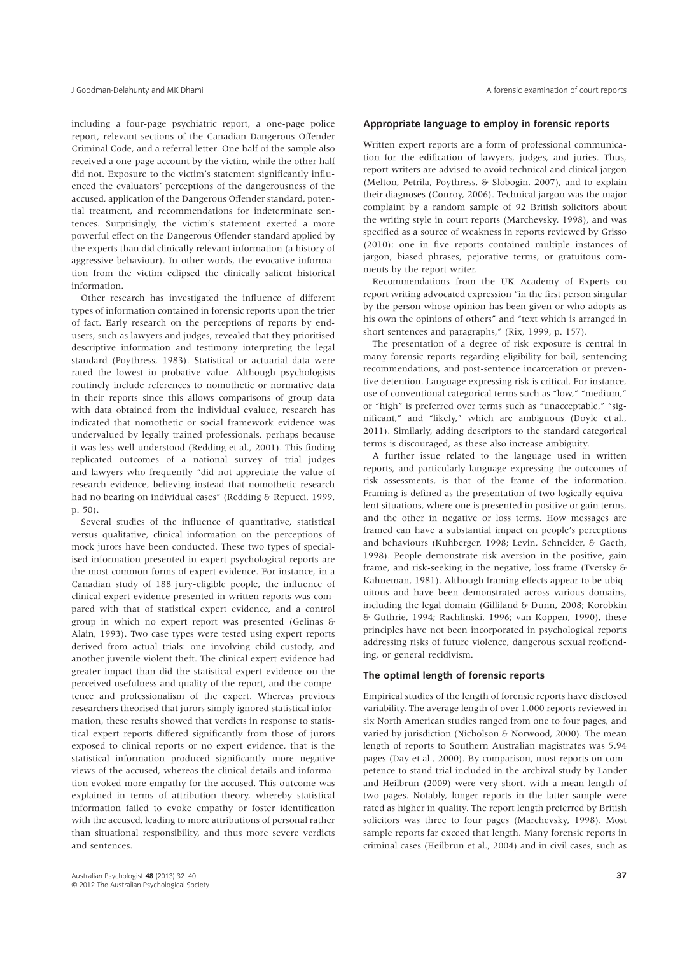including a four-page psychiatric report, a one-page police report, relevant sections of the Canadian Dangerous Offender Criminal Code, and a referral letter. One half of the sample also received a one-page account by the victim, while the other half did not. Exposure to the victim's statement significantly influenced the evaluators' perceptions of the dangerousness of the accused, application of the Dangerous Offender standard, potential treatment, and recommendations for indeterminate sentences. Surprisingly, the victim's statement exerted a more powerful effect on the Dangerous Offender standard applied by the experts than did clinically relevant information (a history of aggressive behaviour). In other words, the evocative information from the victim eclipsed the clinically salient historical information.

Other research has investigated the influence of different types of information contained in forensic reports upon the trier of fact. Early research on the perceptions of reports by endusers, such as lawyers and judges, revealed that they prioritised descriptive information and testimony interpreting the legal standard (Poythress, 1983). Statistical or actuarial data were rated the lowest in probative value. Although psychologists routinely include references to nomothetic or normative data in their reports since this allows comparisons of group data with data obtained from the individual evaluee, research has indicated that nomothetic or social framework evidence was undervalued by legally trained professionals, perhaps because it was less well understood (Redding et al., 2001). This finding replicated outcomes of a national survey of trial judges and lawyers who frequently "did not appreciate the value of research evidence, believing instead that nomothetic research had no bearing on individual cases" (Redding & Repucci, 1999, p. 50).

Several studies of the influence of quantitative, statistical versus qualitative, clinical information on the perceptions of mock jurors have been conducted. These two types of specialised information presented in expert psychological reports are the most common forms of expert evidence. For instance, in a Canadian study of 188 jury-eligible people, the influence of clinical expert evidence presented in written reports was compared with that of statistical expert evidence, and a control group in which no expert report was presented (Gelinas & Alain, 1993). Two case types were tested using expert reports derived from actual trials: one involving child custody, and another juvenile violent theft. The clinical expert evidence had greater impact than did the statistical expert evidence on the perceived usefulness and quality of the report, and the competence and professionalism of the expert. Whereas previous researchers theorised that jurors simply ignored statistical information, these results showed that verdicts in response to statistical expert reports differed significantly from those of jurors exposed to clinical reports or no expert evidence, that is the statistical information produced significantly more negative views of the accused, whereas the clinical details and information evoked more empathy for the accused. This outcome was explained in terms of attribution theory, whereby statistical information failed to evoke empathy or foster identification with the accused, leading to more attributions of personal rather than situational responsibility, and thus more severe verdicts and sentences.

### **Appropriate language to employ in forensic reports**

Written expert reports are a form of professional communication for the edification of lawyers, judges, and juries. Thus, report writers are advised to avoid technical and clinical jargon (Melton, Petrila, Poythress, & Slobogin, 2007), and to explain their diagnoses (Conroy, 2006). Technical jargon was the major complaint by a random sample of 92 British solicitors about the writing style in court reports (Marchevsky, 1998), and was specified as a source of weakness in reports reviewed by Grisso (2010): one in five reports contained multiple instances of jargon, biased phrases, pejorative terms, or gratuitous comments by the report writer.

Recommendations from the UK Academy of Experts on report writing advocated expression "in the first person singular by the person whose opinion has been given or who adopts as his own the opinions of others" and "text which is arranged in short sentences and paragraphs," (Rix, 1999, p. 157).

The presentation of a degree of risk exposure is central in many forensic reports regarding eligibility for bail, sentencing recommendations, and post-sentence incarceration or preventive detention. Language expressing risk is critical. For instance, use of conventional categorical terms such as "low," "medium," or "high" is preferred over terms such as "unacceptable," "significant," and "likely," which are ambiguous (Doyle et al., 2011). Similarly, adding descriptors to the standard categorical terms is discouraged, as these also increase ambiguity.

A further issue related to the language used in written reports, and particularly language expressing the outcomes of risk assessments, is that of the frame of the information. Framing is defined as the presentation of two logically equivalent situations, where one is presented in positive or gain terms, and the other in negative or loss terms. How messages are framed can have a substantial impact on people's perceptions and behaviours (Kuhberger, 1998; Levin, Schneider, & Gaeth, 1998). People demonstrate risk aversion in the positive, gain frame, and risk-seeking in the negative, loss frame (Tversky & Kahneman, 1981). Although framing effects appear to be ubiquitous and have been demonstrated across various domains, including the legal domain (Gilliland & Dunn, 2008; Korobkin & Guthrie, 1994; Rachlinski, 1996; van Koppen, 1990), these principles have not been incorporated in psychological reports addressing risks of future violence, dangerous sexual reoffending, or general recidivism.

#### **The optimal length of forensic reports**

Empirical studies of the length of forensic reports have disclosed variability. The average length of over 1,000 reports reviewed in six North American studies ranged from one to four pages, and varied by jurisdiction (Nicholson & Norwood, 2000). The mean length of reports to Southern Australian magistrates was 5.94 pages (Day et al., 2000). By comparison, most reports on competence to stand trial included in the archival study by Lander and Heilbrun (2009) were very short, with a mean length of two pages. Notably, longer reports in the latter sample were rated as higher in quality. The report length preferred by British solicitors was three to four pages (Marchevsky, 1998). Most sample reports far exceed that length. Many forensic reports in criminal cases (Heilbrun et al., 2004) and in civil cases, such as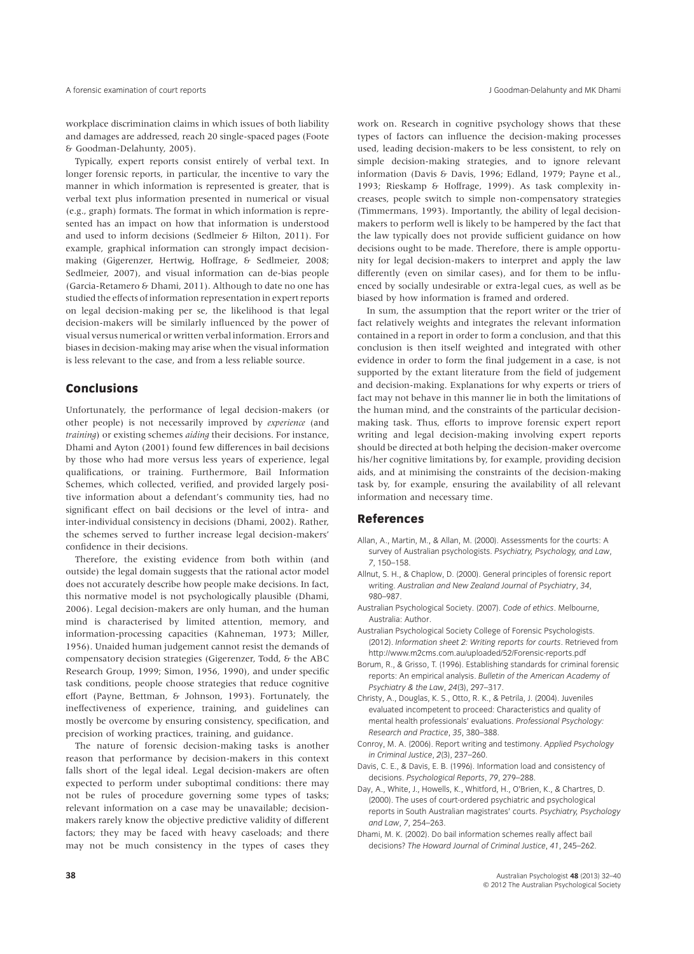A forensic examination of court reports J Goodman-Delahunty and MK Dhami

workplace discrimination claims in which issues of both liability and damages are addressed, reach 20 single-spaced pages (Foote & Goodman-Delahunty, 2005).

Typically, expert reports consist entirely of verbal text. In longer forensic reports, in particular, the incentive to vary the manner in which information is represented is greater, that is verbal text plus information presented in numerical or visual (e.g., graph) formats. The format in which information is represented has an impact on how that information is understood and used to inform decisions (Sedlmeier & Hilton, 2011). For example, graphical information can strongly impact decisionmaking (Gigerenzer, Hertwig, Hoffrage, & Sedlmeier, 2008; Sedlmeier, 2007), and visual information can de-bias people (Garcia-Retamero & Dhami, 2011). Although to date no one has studied the effects of information representation in expert reports on legal decision-making per se, the likelihood is that legal decision-makers will be similarly influenced by the power of visual versus numerical or written verbal information. Errors and biases in decision-making may arise when the visual information is less relevant to the case, and from a less reliable source.

# **Conclusions**

Unfortunately, the performance of legal decision-makers (or other people) is not necessarily improved by *experience* (and *training*) or existing schemes *aiding* their decisions. For instance, Dhami and Ayton (2001) found few differences in bail decisions by those who had more versus less years of experience, legal qualifications, or training. Furthermore, Bail Information Schemes, which collected, verified, and provided largely positive information about a defendant's community ties, had no significant effect on bail decisions or the level of intra- and inter-individual consistency in decisions (Dhami, 2002). Rather, the schemes served to further increase legal decision-makers' confidence in their decisions.

Therefore, the existing evidence from both within (and outside) the legal domain suggests that the rational actor model does not accurately describe how people make decisions. In fact, this normative model is not psychologically plausible (Dhami, 2006). Legal decision-makers are only human, and the human mind is characterised by limited attention, memory, and information-processing capacities (Kahneman, 1973; Miller, 1956). Unaided human judgement cannot resist the demands of compensatory decision strategies (Gigerenzer, Todd, & the ABC Research Group, 1999; Simon, 1956, 1990), and under specific task conditions, people choose strategies that reduce cognitive effort (Payne, Bettman, & Johnson, 1993). Fortunately, the ineffectiveness of experience, training, and guidelines can mostly be overcome by ensuring consistency, specification, and precision of working practices, training, and guidance.

The nature of forensic decision-making tasks is another reason that performance by decision-makers in this context falls short of the legal ideal. Legal decision-makers are often expected to perform under suboptimal conditions: there may not be rules of procedure governing some types of tasks; relevant information on a case may be unavailable; decisionmakers rarely know the objective predictive validity of different factors; they may be faced with heavy caseloads; and there may not be much consistency in the types of cases they

work on. Research in cognitive psychology shows that these types of factors can influence the decision-making processes used, leading decision-makers to be less consistent, to rely on simple decision-making strategies, and to ignore relevant information (Davis & Davis, 1996; Edland, 1979; Payne et al., 1993; Rieskamp & Hoffrage, 1999). As task complexity increases, people switch to simple non-compensatory strategies (Timmermans, 1993). Importantly, the ability of legal decisionmakers to perform well is likely to be hampered by the fact that the law typically does not provide sufficient guidance on how decisions ought to be made. Therefore, there is ample opportunity for legal decision-makers to interpret and apply the law differently (even on similar cases), and for them to be influenced by socially undesirable or extra-legal cues, as well as be biased by how information is framed and ordered.

In sum, the assumption that the report writer or the trier of fact relatively weights and integrates the relevant information contained in a report in order to form a conclusion, and that this conclusion is then itself weighted and integrated with other evidence in order to form the final judgement in a case, is not supported by the extant literature from the field of judgement and decision-making. Explanations for why experts or triers of fact may not behave in this manner lie in both the limitations of the human mind, and the constraints of the particular decisionmaking task. Thus, efforts to improve forensic expert report writing and legal decision-making involving expert reports should be directed at both helping the decision-maker overcome his/her cognitive limitations by, for example, providing decision aids, and at minimising the constraints of the decision-making task by, for example, ensuring the availability of all relevant information and necessary time.

#### **References**

- Allan, A., Martin, M., & Allan, M. (2000). Assessments for the courts: A survey of Australian psychologists. *Psychiatry, Psychology, and Law*, *7*, 150–158.
- Allnut, S. H., & Chaplow, D. (2000). General principles of forensic report writing. *Australian and New Zealand Journal of Psychiatry*, *34*, 980–987.
- Australian Psychological Society. (2007). *Code of ethics*. Melbourne, Australia: Author.
- Australian Psychological Society College of Forensic Psychologists. (2012). *Information sheet 2: Writing reports for courts*. Retrieved from http://www.m2cms.com.au/uploaded/52/Forensic-reports.pdf
- Borum, R., & Grisso, T. (1996). Establishing standards for criminal forensic reports: An empirical analysis. *Bulletin of the American Academy of Psychiatry & the Law*, *24*(3), 297–317.
- Christy, A., Douglas, K. S., Otto, R. K., & Petrila, J. (2004). Juveniles evaluated incompetent to proceed: Characteristics and quality of mental health professionals' evaluations. *Professional Psychology: Research and Practice*, *35*, 380–388.
- Conroy, M. A. (2006). Report writing and testimony. *Applied Psychology in Criminal Justice*, *2*(3), 237–260.
- Davis, C. E., & Davis, E. B. (1996). Information load and consistency of decisions. *Psychological Reports*, *79*, 279–288.
- Day, A., White, J., Howells, K., Whitford, H., O'Brien, K., & Chartres, D. (2000). The uses of court-ordered psychiatric and psychological reports in South Australian magistrates' courts. *Psychiatry, Psychology and Law*, *7*, 254–263.
- Dhami, M. K. (2002). Do bail information schemes really affect bail decisions? *The Howard Journal of Criminal Justice*, *41*, 245–262.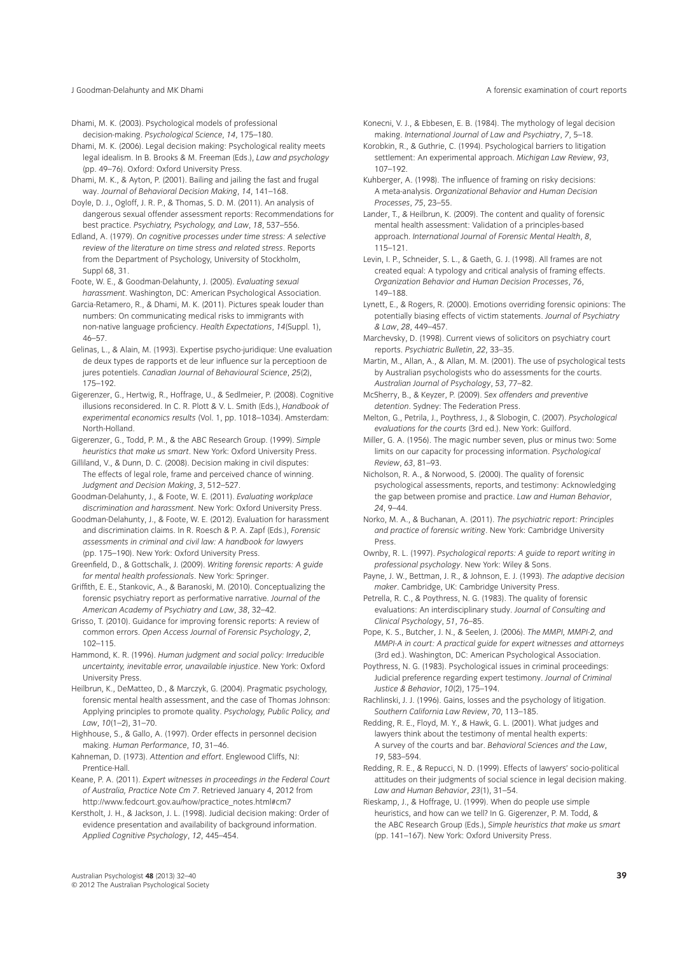J Goodman-Delahunty and MK Dhami A forensic examination of court reports

Dhami, M. K. (2003). Psychological models of professional decision-making. *Psychological Science*, *14*, 175–180.

Dhami, M. K. (2006). Legal decision making: Psychological reality meets legal idealism. In B. Brooks & M. Freeman (Eds.), *Law and psychology* (pp. 49–76). Oxford: Oxford University Press.

Dhami, M. K., & Ayton, P. (2001). Bailing and jailing the fast and frugal way. *Journal of Behavioral Decision Making*, *14*, 141–168.

Doyle, D. J., Ogloff, J. R. P., & Thomas, S. D. M. (2011). An analysis of dangerous sexual offender assessment reports: Recommendations for best practice. *Psychiatry, Psychology, and Law*, *18*, 537–556.

Edland, A. (1979). *On cognitive processes under time stress: A selective review of the literature on time stress and related stress*. Reports from the Department of Psychology, University of Stockholm, Suppl 68, 31.

Foote, W. E., & Goodman-Delahunty, J. (2005). *Evaluating sexual harassment*. Washington, DC: American Psychological Association.

Garcia-Retamero, R., & Dhami, M. K. (2011). Pictures speak louder than numbers: On communicating medical risks to immigrants with non-native language proficiency. *Health Expectations*, *14*(Suppl. 1), 46–57.

Gelinas, L., & Alain, M. (1993). Expertise psycho-juridique: Une evaluation de deux types de rapports et de leur influence sur la perceptioon de jures potentiels. *Canadian Journal of Behavioural Science*, *25*(2), 175–192.

Gigerenzer, G., Hertwig, R., Hoffrage, U., & Sedlmeier, P. (2008). Cognitive illusions reconsidered. In C. R. Plott & V. L. Smith (Eds.), *Handbook of experimental economics results* (Vol. 1, pp. 1018–1034). Amsterdam: North-Holland.

Gigerenzer, G., Todd, P. M., & the ABC Research Group. (1999). *Simple heuristics that make us smart*. New York: Oxford University Press.

Gilliland, V., & Dunn, D. C. (2008). Decision making in civil disputes: The effects of legal role, frame and perceived chance of winning. *Judgment and Decision Making*, *3*, 512–527.

Goodman-Delahunty, J., & Foote, W. E. (2011). *Evaluating workplace discrimination and harassment*. New York: Oxford University Press.

Goodman-Delahunty, J., & Foote, W. E. (2012). Evaluation for harassment and discrimination claims. In R. Roesch & P. A. Zapf (Eds.), *Forensic assessments in criminal and civil law: A handbook for lawyers* (pp. 175–190). New York: Oxford University Press.

Greenfield, D., & Gottschalk, J. (2009). *Writing forensic reports: A guide for mental health professionals*. New York: Springer.

Griffith, E. E., Stankovic, A., & Baranoski, M. (2010). Conceptualizing the forensic psychiatry report as performative narrative. *Journal of the American Academy of Psychiatry and Law*, *38*, 32–42.

Grisso, T. (2010). Guidance for improving forensic reports: A review of common errors. *Open Access Journal of Forensic Psychology*, *2*, 102–115.

Hammond, K. R. (1996). *Human judgment and social policy: Irreducible uncertainty, inevitable error, unavailable injustice*. New York: Oxford University Press.

Heilbrun, K., DeMatteo, D., & Marczyk, G. (2004). Pragmatic psychology, forensic mental health assessment, and the case of Thomas Johnson: Applying principles to promote quality. *Psychology, Public Policy, and Law*, *10*(1–2), 31–70.

Highhouse, S., & Gallo, A. (1997). Order effects in personnel decision making. *Human Performance*, *10*, 31–46.

Kahneman, D. (1973). *Attention and effort*. Englewood Cliffs, NJ: Prentice-Hall.

Keane, P. A. (2011). *Expert witnesses in proceedings in the Federal Court of Australia, Practice Note Cm 7*. Retrieved January 4, 2012 from http://www.fedcourt.gov.au/how/practice\_notes.html#cm7

Kerstholt, J. H., & Jackson, J. L. (1998). Judicial decision making: Order of evidence presentation and availability of background information. *Applied Cognitive Psychology*, *12*, 445–454.

Konecni, V. J., & Ebbesen, E. B. (1984). The mythology of legal decision making. *International Journal of Law and Psychiatry*, *7*, 5–18.

- Korobkin, R., & Guthrie, C. (1994). Psychological barriers to litigation settlement: An experimental approach. *Michigan Law Review*, *93*, 107–192.
- Kuhberger, A. (1998). The influence of framing on risky decisions: A meta-analysis. *Organizational Behavior and Human Decision Processes*, *75*, 23–55.

Lander, T., & Heilbrun, K. (2009). The content and quality of forensic mental health assessment: Validation of a principles-based approach. *International Journal of Forensic Mental Health*, *8*, 115–121.

Levin, I. P., Schneider, S. L., & Gaeth, G. J. (1998). All frames are not created equal: A typology and critical analysis of framing effects. *Organization Behavior and Human Decision Processes*, *76*, 149–188.

Lynett, E., & Rogers, R. (2000). Emotions overriding forensic opinions: The potentially biasing effects of victim statements. *Journal of Psychiatry & Law*, *28*, 449–457.

Marchevsky, D. (1998). Current views of solicitors on psychiatry court reports. *Psychiatric Bulletin*, *22*, 33–35.

Martin, M., Allan, A., & Allan, M. M. (2001). The use of psychological tests by Australian psychologists who do assessments for the courts. *Australian Journal of Psychology*, *53*, 77–82.

McSherry, B., & Keyzer, P. (2009). *Sex offenders and preventive detention*. Sydney: The Federation Press.

Melton, G., Petrila, J., Poythress, J., & Slobogin, C. (2007). *Psychological evaluations for the courts* (3rd ed.). New York: Guilford.

Miller, G. A. (1956). The magic number seven, plus or minus two: Some limits on our capacity for processing information. *Psychological Review*, *63*, 81–93.

Nicholson, R. A., & Norwood, S. (2000). The quality of forensic psychological assessments, reports, and testimony: Acknowledging the gap between promise and practice. *Law and Human Behavior*, *24*, 9–44.

Norko, M. A., & Buchanan, A. (2011). *The psychiatric report: Principles and practice of forensic writing*. New York: Cambridge University Press.

Ownby, R. L. (1997). *Psychological reports: A guide to report writing in professional psychology*. New York: Wiley & Sons.

Payne, J. W., Bettman, J. R., & Johnson, E. J. (1993). *The adaptive decision maker*. Cambridge, UK: Cambridge University Press.

Petrella, R. C., & Poythress, N. G. (1983). The quality of forensic evaluations: An interdisciplinary study. *Journal of Consulting and Clinical Psychology*, *51*, 76–85.

Pope, K. S., Butcher, J. N., & Seelen, J. (2006). *The MMPI, MMPI-2, and MMPI-A in court: A practical guide for expert witnesses and attorneys* (3rd ed.). Washington, DC: American Psychological Association.

Poythress, N. G. (1983). Psychological issues in criminal proceedings: Judicial preference regarding expert testimony. *Journal of Criminal Justice & Behavior*, *10*(2), 175–194.

Rachlinski, J. J. (1996). Gains, losses and the psychology of litigation. *Southern California Law Review*, *70*, 113–185.

Redding, R. E., Floyd, M. Y., & Hawk, G. L. (2001). What judges and lawyers think about the testimony of mental health experts: A survey of the courts and bar. *Behavioral Sciences and the Law*, *19*, 583–594.

Redding, R. E., & Repucci, N. D. (1999). Effects of lawyers' socio-political attitudes on their judgments of social science in legal decision making. *Law and Human Behavior*, *23*(1), 31–54.

Rieskamp, J., & Hoffrage, U. (1999). When do people use simple heuristics, and how can we tell? In G. Gigerenzer, P. M. Todd, & the ABC Research Group (Eds.), *Simple heuristics that make us smart* (pp. 141–167). New York: Oxford University Press.